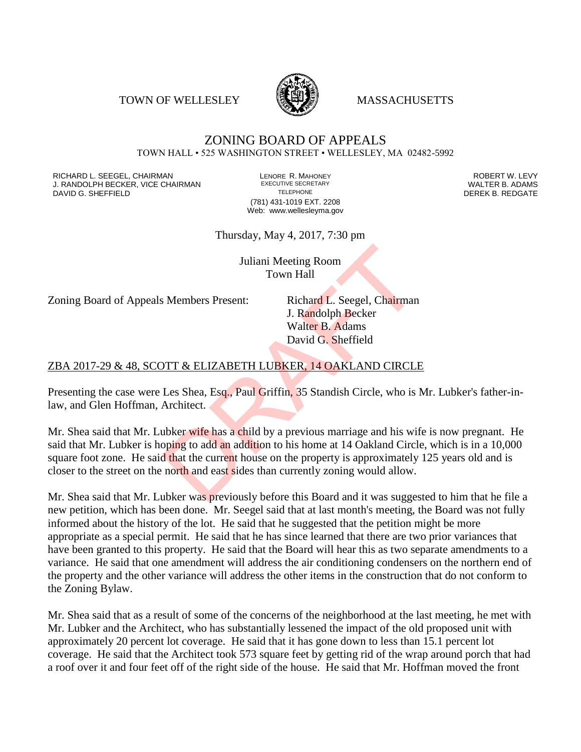TOWN OF WELLESLEY **WELLESLEY** MASSACHUSETTS



#### ZONING BOARD OF APPEALS TOWN HALL • 525 WASHINGTON STREET • WELLESLEY, MA 02482-5992

RICHARD L. SEEGEL, CHAIRMAN LENORE R. MAHONEY ROBERT W. LEVY J. RANDOLPH BECKER, VICE CHAIRMAN EXECUTIVE SECRETARY THE SECRETARY THE SANDOLPH BECKER B. ADAMS<br>DEREK B. REDGATE DAVID G. SHEFFIELD

(781) 431-1019 EXT. 2208 Web: www.wellesleyma.gov

Thursday, May 4, 2017, 7:30 pm

Juliani Meeting Room Town Hall

Zoning Board of Appeals Members Present: Richard L. Seegel, Chairman

J. Randolph Becker Walter B. Adams David G. Sheffield

#### ZBA 2017-29 & 48, SCOTT & ELIZABETH LUBKER, 14 OAKLAND CIRCLE

Presenting the case were Les Shea, Esq., Paul Griffin, 35 Standish Circle, who is Mr. Lubker's father-inlaw, and Glen Hoffman, Architect.

Mr. Shea said that Mr. Lubker wife has a child by a previous marriage and his wife is now pregnant. He said that Mr. Lubker is hoping to add an addition to his home at 14 Oakland Circle, which is in a 10,000 square foot zone. He said that the current house on the property is approximately 125 years old and is closer to the street on the north and east sides than currently zoning would allow. Juliani Meeting Room<br>
Town Hall<br>
S. Members Present: Richard L. Seegel, Chairman<br>
J. Randolph Becker<br>
Walter B. Adams<br>
David G. Sheffield<br>
DTT & ELIZABETH LUBKER, 14 OAKLAND CIRCL<br>
Les Shea, Esq., Paul Griffin, 35 Standish

Mr. Shea said that Mr. Lubker was previously before this Board and it was suggested to him that he file a new petition, which has been done. Mr. Seegel said that at last month's meeting, the Board was not fully informed about the history of the lot. He said that he suggested that the petition might be more appropriate as a special permit. He said that he has since learned that there are two prior variances that have been granted to this property. He said that the Board will hear this as two separate amendments to a variance. He said that one amendment will address the air conditioning condensers on the northern end of the property and the other variance will address the other items in the construction that do not conform to the Zoning Bylaw.

Mr. Shea said that as a result of some of the concerns of the neighborhood at the last meeting, he met with Mr. Lubker and the Architect, who has substantially lessened the impact of the old proposed unit with approximately 20 percent lot coverage. He said that it has gone down to less than 15.1 percent lot coverage. He said that the Architect took 573 square feet by getting rid of the wrap around porch that had a roof over it and four feet off of the right side of the house. He said that Mr. Hoffman moved the front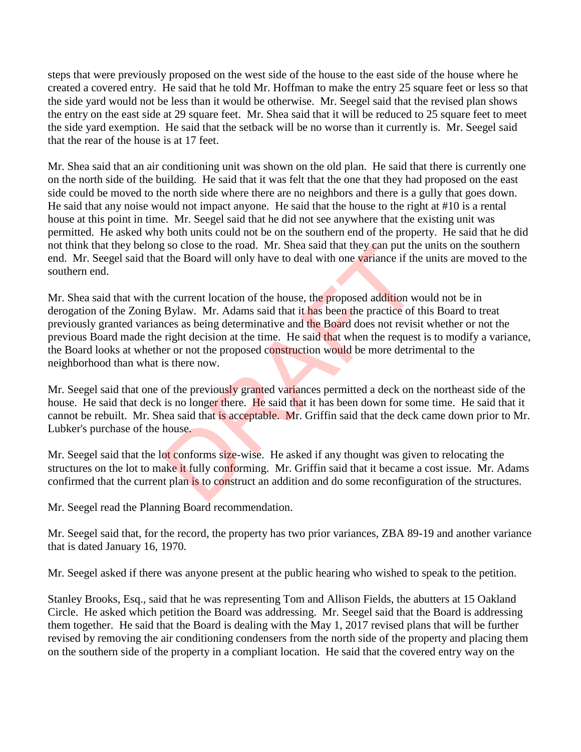steps that were previously proposed on the west side of the house to the east side of the house where he created a covered entry. He said that he told Mr. Hoffman to make the entry 25 square feet or less so that the side yard would not be less than it would be otherwise. Mr. Seegel said that the revised plan shows the entry on the east side at 29 square feet. Mr. Shea said that it will be reduced to 25 square feet to meet the side yard exemption. He said that the setback will be no worse than it currently is. Mr. Seegel said that the rear of the house is at 17 feet.

Mr. Shea said that an air conditioning unit was shown on the old plan. He said that there is currently one on the north side of the building. He said that it was felt that the one that they had proposed on the east side could be moved to the north side where there are no neighbors and there is a gully that goes down. He said that any noise would not impact anyone. He said that the house to the right at #10 is a rental house at this point in time. Mr. Seegel said that he did not see anywhere that the existing unit was permitted. He asked why both units could not be on the southern end of the property. He said that he did not think that they belong so close to the road. Mr. Shea said that they can put the units on the southern end. Mr. Seegel said that the Board will only have to deal with one variance if the units are moved to the southern end.

Mr. Shea said that with the current location of the house, the proposed addition would not be in derogation of the Zoning Bylaw. Mr. Adams said that it has been the practice of this Board to treat previously granted variances as being determinative and the Board does not revisit whether or not the previous Board made the right decision at the time. He said that when the request is to modify a variance, the Board looks at whether or not the proposed construction would be more detrimental to the neighborhood than what is there now. g so close to the road. Mr. Shea said that they can put the<br>the Board will only have to deal with one variance if the<br>ne current location of the house, the proposed addition we<br>Bylaw. Mr. Adams said that it has been the pr

Mr. Seegel said that one of the previously granted variances permitted a deck on the northeast side of the house. He said that deck is no longer there. He said that it has been down for some time. He said that it cannot be rebuilt. Mr. Shea said that is acceptable. Mr. Griffin said that the deck came down prior to Mr. Lubker's purchase of the house.

Mr. Seegel said that the lot conforms size-wise. He asked if any thought was given to relocating the structures on the lot to make it fully conforming. Mr. Griffin said that it became a cost issue. Mr. Adams confirmed that the current plan is to construct an addition and do some reconfiguration of the structures.

Mr. Seegel read the Planning Board recommendation.

Mr. Seegel said that, for the record, the property has two prior variances, ZBA 89-19 and another variance that is dated January 16, 1970.

Mr. Seegel asked if there was anyone present at the public hearing who wished to speak to the petition.

Stanley Brooks, Esq., said that he was representing Tom and Allison Fields, the abutters at 15 Oakland Circle. He asked which petition the Board was addressing. Mr. Seegel said that the Board is addressing them together. He said that the Board is dealing with the May 1, 2017 revised plans that will be further revised by removing the air conditioning condensers from the north side of the property and placing them on the southern side of the property in a compliant location. He said that the covered entry way on the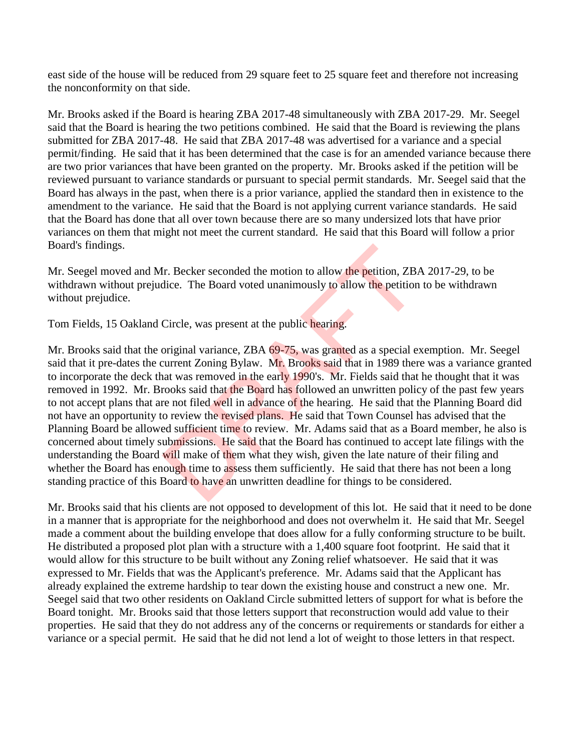east side of the house will be reduced from 29 square feet to 25 square feet and therefore not increasing the nonconformity on that side.

Mr. Brooks asked if the Board is hearing ZBA 2017-48 simultaneously with ZBA 2017-29. Mr. Seegel said that the Board is hearing the two petitions combined. He said that the Board is reviewing the plans submitted for ZBA 2017-48. He said that ZBA 2017-48 was advertised for a variance and a special permit/finding. He said that it has been determined that the case is for an amended variance because there are two prior variances that have been granted on the property. Mr. Brooks asked if the petition will be reviewed pursuant to variance standards or pursuant to special permit standards. Mr. Seegel said that the Board has always in the past, when there is a prior variance, applied the standard then in existence to the amendment to the variance. He said that the Board is not applying current variance standards. He said that the Board has done that all over town because there are so many undersized lots that have prior variances on them that might not meet the current standard. He said that this Board will follow a prior Board's findings.

Mr. Seegel moved and Mr. Becker seconded the motion to allow the petition, ZBA 2017-29, to be withdrawn without prejudice. The Board voted unanimously to allow the petition to be withdrawn without prejudice.

Tom Fields, 15 Oakland Circle, was present at the public hearing.

Mr. Brooks said that the original variance, ZBA 69-75, was granted as a special exemption. Mr. Seegel said that it pre-dates the current Zoning Bylaw. Mr. Brooks said that in 1989 there was a variance granted to incorporate the deck that was removed in the early 1990's. Mr. Fields said that he thought that it was removed in 1992. Mr. Brooks said that the Board has followed an unwritten policy of the past few years to not accept plans that are not filed well in advance of the hearing. He said that the Planning Board did not have an opportunity to review the revised plans. He said that Town Counsel has advised that the Planning Board be allowed sufficient time to review. Mr. Adams said that as a Board member, he also is concerned about timely submissions. He said that the Board has continued to accept late filings with the understanding the Board will make of them what they wish, given the late nature of their filing and whether the Board has enough time to assess them sufficiently. He said that there has not been a long standing practice of this Board to have an unwritten deadline for things to be considered. Ir. Becker seconded the motion to allow the petition, ZBA<br>dice. The Board voted unanimously to allow the petition<br>Circle, was present at the public hearing.<br>Original variance, ZBA 69-75, was granted as a special ex-<br>curren

Mr. Brooks said that his clients are not opposed to development of this lot. He said that it need to be done in a manner that is appropriate for the neighborhood and does not overwhelm it. He said that Mr. Seegel made a comment about the building envelope that does allow for a fully conforming structure to be built. He distributed a proposed plot plan with a structure with a 1,400 square foot footprint. He said that it would allow for this structure to be built without any Zoning relief whatsoever. He said that it was expressed to Mr. Fields that was the Applicant's preference. Mr. Adams said that the Applicant has already explained the extreme hardship to tear down the existing house and construct a new one. Mr. Seegel said that two other residents on Oakland Circle submitted letters of support for what is before the Board tonight. Mr. Brooks said that those letters support that reconstruction would add value to their properties. He said that they do not address any of the concerns or requirements or standards for either a variance or a special permit. He said that he did not lend a lot of weight to those letters in that respect.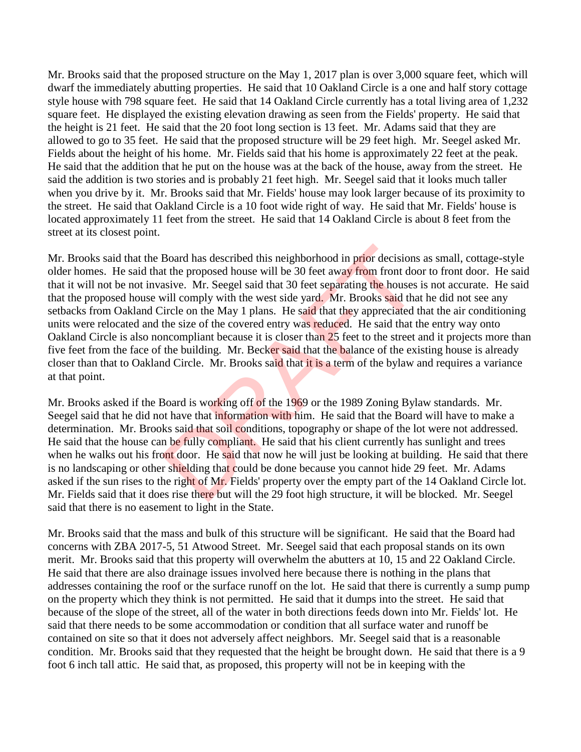Mr. Brooks said that the proposed structure on the May 1, 2017 plan is over 3,000 square feet, which will dwarf the immediately abutting properties. He said that 10 Oakland Circle is a one and half story cottage style house with 798 square feet. He said that 14 Oakland Circle currently has a total living area of 1,232 square feet. He displayed the existing elevation drawing as seen from the Fields' property. He said that the height is 21 feet. He said that the 20 foot long section is 13 feet. Mr. Adams said that they are allowed to go to 35 feet. He said that the proposed structure will be 29 feet high. Mr. Seegel asked Mr. Fields about the height of his home. Mr. Fields said that his home is approximately 22 feet at the peak. He said that the addition that he put on the house was at the back of the house, away from the street. He said the addition is two stories and is probably 21 feet high. Mr. Seegel said that it looks much taller when you drive by it. Mr. Brooks said that Mr. Fields' house may look larger because of its proximity to the street. He said that Oakland Circle is a 10 foot wide right of way. He said that Mr. Fields' house is located approximately 11 feet from the street. He said that 14 Oakland Circle is about 8 feet from the street at its closest point.

Mr. Brooks said that the Board has described this neighborhood in prior decisions as small, cottage-style older homes. He said that the proposed house will be 30 feet away from front door to front door. He said that it will not be not invasive. Mr. Seegel said that 30 feet separating the houses is not accurate. He said that the proposed house will comply with the west side yard. Mr. Brooks said that he did not see any setbacks from Oakland Circle on the May 1 plans. He said that they appreciated that the air conditioning units were relocated and the size of the covered entry was reduced. He said that the entry way onto Oakland Circle is also noncompliant because it is closer than 25 feet to the street and it projects more than five feet from the face of the building. Mr. Becker said that the balance of the existing house is already closer than that to Oakland Circle. Mr. Brooks said that it is a term of the bylaw and requires a variance at that point. Board has described this neighborhood in prior decisions<br>to the proposed house will be 30 feet away from front doc<br>saive. Mr. Seegel said that 30 feet separating the houses<br>will comply with the west side yard. Mr. Brooks s

Mr. Brooks asked if the Board is working off of the 1969 or the 1989 Zoning Bylaw standards. Mr. Seegel said that he did not have that information with him. He said that the Board will have to make a determination. Mr. Brooks said that soil conditions, topography or shape of the lot were not addressed. He said that the house can be fully compliant. He said that his client currently has sunlight and trees when he walks out his front door. He said that now he will just be looking at building. He said that there is no landscaping or other shielding that could be done because you cannot hide 29 feet. Mr. Adams asked if the sun rises to the right of Mr. Fields' property over the empty part of the 14 Oakland Circle lot. Mr. Fields said that it does rise there but will the 29 foot high structure, it will be blocked. Mr. Seegel said that there is no easement to light in the State.

Mr. Brooks said that the mass and bulk of this structure will be significant. He said that the Board had concerns with ZBA 2017-5, 51 Atwood Street. Mr. Seegel said that each proposal stands on its own merit. Mr. Brooks said that this property will overwhelm the abutters at 10, 15 and 22 Oakland Circle. He said that there are also drainage issues involved here because there is nothing in the plans that addresses containing the roof or the surface runoff on the lot. He said that there is currently a sump pump on the property which they think is not permitted. He said that it dumps into the street. He said that because of the slope of the street, all of the water in both directions feeds down into Mr. Fields' lot. He said that there needs to be some accommodation or condition that all surface water and runoff be contained on site so that it does not adversely affect neighbors. Mr. Seegel said that is a reasonable condition. Mr. Brooks said that they requested that the height be brought down. He said that there is a 9 foot 6 inch tall attic. He said that, as proposed, this property will not be in keeping with the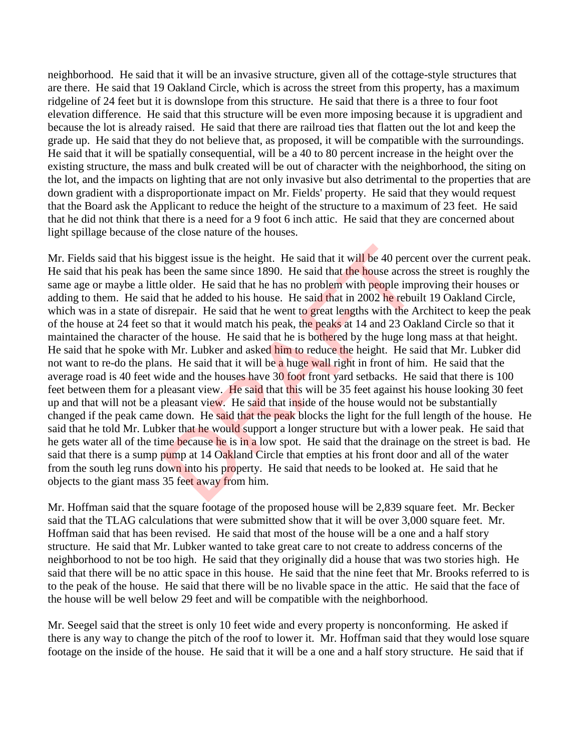neighborhood. He said that it will be an invasive structure, given all of the cottage-style structures that are there. He said that 19 Oakland Circle, which is across the street from this property, has a maximum ridgeline of 24 feet but it is downslope from this structure. He said that there is a three to four foot elevation difference. He said that this structure will be even more imposing because it is upgradient and because the lot is already raised. He said that there are railroad ties that flatten out the lot and keep the grade up. He said that they do not believe that, as proposed, it will be compatible with the surroundings. He said that it will be spatially consequential, will be a 40 to 80 percent increase in the height over the existing structure, the mass and bulk created will be out of character with the neighborhood, the siting on the lot, and the impacts on lighting that are not only invasive but also detrimental to the properties that are down gradient with a disproportionate impact on Mr. Fields' property. He said that they would request that the Board ask the Applicant to reduce the height of the structure to a maximum of 23 feet. He said that he did not think that there is a need for a 9 foot 6 inch attic. He said that they are concerned about light spillage because of the close nature of the houses.

Mr. Fields said that his biggest issue is the height. He said that it will be 40 percent over the current peak. He said that his peak has been the same since 1890. He said that the house across the street is roughly the same age or maybe a little older. He said that he has no problem with people improving their houses or adding to them. He said that he added to his house. He said that in 2002 he rebuilt 19 Oakland Circle, which was in a state of disrepair. He said that he went to great lengths with the Architect to keep the peak of the house at 24 feet so that it would match his peak, the peaks at 14 and 23 Oakland Circle so that it maintained the character of the house. He said that he is bothered by the huge long mass at that height. He said that he spoke with Mr. Lubker and asked him to reduce the height. He said that Mr. Lubker did not want to re-do the plans. He said that it will be a huge wall right in front of him. He said that the average road is 40 feet wide and the houses have 30 foot front yard setbacks. He said that there is 100 feet between them for a pleasant view. He said that this will be 35 feet against his house looking 30 feet up and that will not be a pleasant view. He said that inside of the house would not be substantially changed if the peak came down. He said that the peak blocks the light for the full length of the house. He said that he told Mr. Lubker that he would support a longer structure but with a lower peak. He said that he gets water all of the time because he is in a low spot. He said that the drainage on the street is bad. He said that there is a sump pump at 14 Oakland Circle that empties at his front door and all of the water from the south leg runs down into his property. He said that needs to be looked at. He said that he objects to the giant mass 35 feet away from him. iggest issue is the height. He said that it will be 40 perce<br>been the same since 1890. He said that the house across<br>e older. He said that he has no problem with people imp<br>that he added to his house. He said that in 2002

Mr. Hoffman said that the square footage of the proposed house will be 2,839 square feet. Mr. Becker said that the TLAG calculations that were submitted show that it will be over 3,000 square feet. Mr. Hoffman said that has been revised. He said that most of the house will be a one and a half story structure. He said that Mr. Lubker wanted to take great care to not create to address concerns of the neighborhood to not be too high. He said that they originally did a house that was two stories high. He said that there will be no attic space in this house. He said that the nine feet that Mr. Brooks referred to is to the peak of the house. He said that there will be no livable space in the attic. He said that the face of the house will be well below 29 feet and will be compatible with the neighborhood.

Mr. Seegel said that the street is only 10 feet wide and every property is nonconforming. He asked if there is any way to change the pitch of the roof to lower it. Mr. Hoffman said that they would lose square footage on the inside of the house. He said that it will be a one and a half story structure. He said that if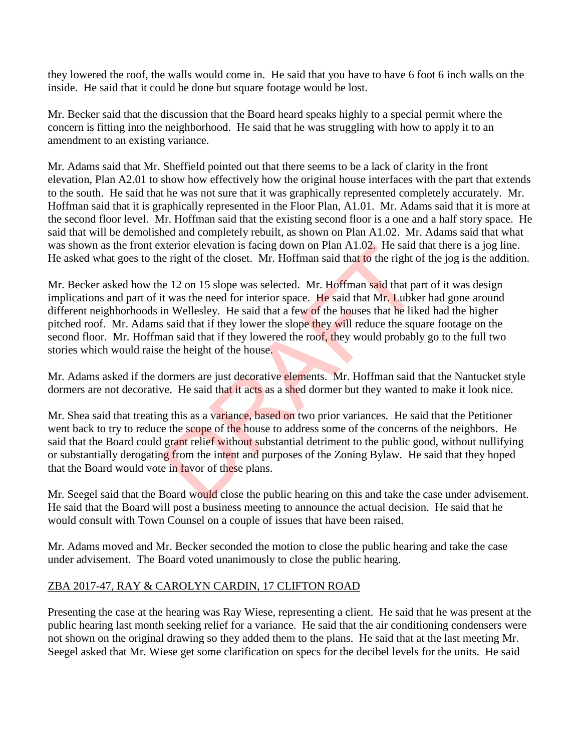they lowered the roof, the walls would come in. He said that you have to have 6 foot 6 inch walls on the inside. He said that it could be done but square footage would be lost.

Mr. Becker said that the discussion that the Board heard speaks highly to a special permit where the concern is fitting into the neighborhood. He said that he was struggling with how to apply it to an amendment to an existing variance.

Mr. Adams said that Mr. Sheffield pointed out that there seems to be a lack of clarity in the front elevation, Plan A2.01 to show how effectively how the original house interfaces with the part that extends to the south. He said that he was not sure that it was graphically represented completely accurately. Mr. Hoffman said that it is graphically represented in the Floor Plan, A1.01. Mr. Adams said that it is more at the second floor level. Mr. Hoffman said that the existing second floor is a one and a half story space. He said that will be demolished and completely rebuilt, as shown on Plan A1.02. Mr. Adams said that what was shown as the front exterior elevation is facing down on Plan A1.02. He said that there is a jog line. He asked what goes to the right of the closet. Mr. Hoffman said that to the right of the jog is the addition.

Mr. Becker asked how the 12 on 15 slope was selected. Mr. Hoffman said that part of it was design implications and part of it was the need for interior space. He said that Mr. Lubker had gone around different neighborhoods in Wellesley. He said that a few of the houses that he liked had the higher pitched roof. Mr. Adams said that if they lower the slope they will reduce the square footage on the second floor. Mr. Hoffman said that if they lowered the roof, they would probably go to the full two stories which would raise the height of the house. xterior elevation is facing down on Plan A1.02. He said is<br>e right of the closet. Mr. Hoffman said that to the right of<br>e 12 on 15 slope was selected. Mr. Hoffman said that pa<br>t was the need for interior space. He said tha

Mr. Adams asked if the dormers are just decorative elements. Mr. Hoffman said that the Nantucket style dormers are not decorative. He said that it acts as a shed dormer but they wanted to make it look nice.

Mr. Shea said that treating this as a variance, based on two prior variances. He said that the Petitioner went back to try to reduce the scope of the house to address some of the concerns of the neighbors. He said that the Board could grant relief without substantial detriment to the public good, without nullifying or substantially derogating from the intent and purposes of the Zoning Bylaw. He said that they hoped that the Board would vote in favor of these plans.

Mr. Seegel said that the Board would close the public hearing on this and take the case under advisement. He said that the Board will post a business meeting to announce the actual decision. He said that he would consult with Town Counsel on a couple of issues that have been raised.

Mr. Adams moved and Mr. Becker seconded the motion to close the public hearing and take the case under advisement. The Board voted unanimously to close the public hearing.

## ZBA 2017-47, RAY & CAROLYN CARDIN, 17 CLIFTON ROAD

Presenting the case at the hearing was Ray Wiese, representing a client. He said that he was present at the public hearing last month seeking relief for a variance. He said that the air conditioning condensers were not shown on the original drawing so they added them to the plans. He said that at the last meeting Mr. Seegel asked that Mr. Wiese get some clarification on specs for the decibel levels for the units. He said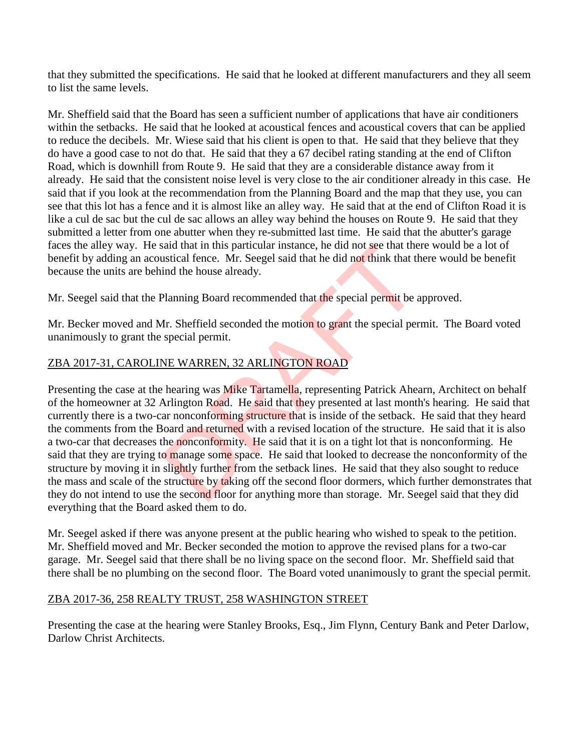that they submitted the specifications. He said that he looked at different manufacturers and they all seem to list the same levels.

Mr. Sheffield said that the Board has seen a sufficient number of applications that have air conditioners within the setbacks. He said that he looked at acoustical fences and acoustical covers that can be applied to reduce the decibels. Mr. Wiese said that his client is open to that. He said that they believe that they do have a good case to not do that. He said that they a 67 decibel rating standing at the end of Clifton Road, which is downhill from Route 9. He said that they are a considerable distance away from it already. He said that the consistent noise level is very close to the air conditioner already in this case. He said that if you look at the recommendation from the Planning Board and the map that they use, you can see that this lot has a fence and it is almost like an alley way. He said that at the end of Clifton Road it is like a cul de sac but the cul de sac allows an alley way behind the houses on Route 9. He said that they submitted a letter from one abutter when they re-submitted last time. He said that the abutter's garage faces the alley way. He said that in this particular instance, he did not see that there would be a lot of benefit by adding an acoustical fence. Mr. Seegel said that he did not think that there would be benefit because the units are behind the house already.

Mr. Seegel said that the Planning Board recommended that the special permit be approved.

Mr. Becker moved and Mr. Sheffield seconded the motion to grant the special permit. The Board voted unanimously to grant the special permit.

# ZBA 2017-31, CAROLINE WARREN, 32 ARLINGTON ROAD

Presenting the case at the hearing was Mike Tartamella, representing Patrick Ahearn, Architect on behalf of the homeowner at 32 Arlington Road. He said that they presented at last month's hearing. He said that currently there is a two-car nonconforming structure that is inside of the setback. He said that they heard the comments from the Board and returned with a revised location of the structure. He said that it is also a two-car that decreases the nonconformity. He said that it is on a tight lot that is nonconforming. He said that they are trying to manage some space. He said that looked to decrease the nonconformity of the structure by moving it in slightly further from the setback lines. He said that they also sought to reduce the mass and scale of the structure by taking off the second floor dormers, which further demonstrates that they do not intend to use the second floor for anything more than storage. Mr. Seegel said that they did everything that the Board asked them to do. Salar that in this particular instance, he did not see that the<br>astical fence. Mr. Seegel said that he did not think that the<br>ind the house already.<br>Planning Board recommended that the special permit be a<br>fr. Sheffield sec

Mr. Seegel asked if there was anyone present at the public hearing who wished to speak to the petition. Mr. Sheffield moved and Mr. Becker seconded the motion to approve the revised plans for a two-car garage. Mr. Seegel said that there shall be no living space on the second floor. Mr. Sheffield said that there shall be no plumbing on the second floor. The Board voted unanimously to grant the special permit.

#### ZBA 2017-36, 258 REALTY TRUST, 258 WASHINGTON STREET

Presenting the case at the hearing were Stanley Brooks, Esq., Jim Flynn, Century Bank and Peter Darlow, Darlow Christ Architects.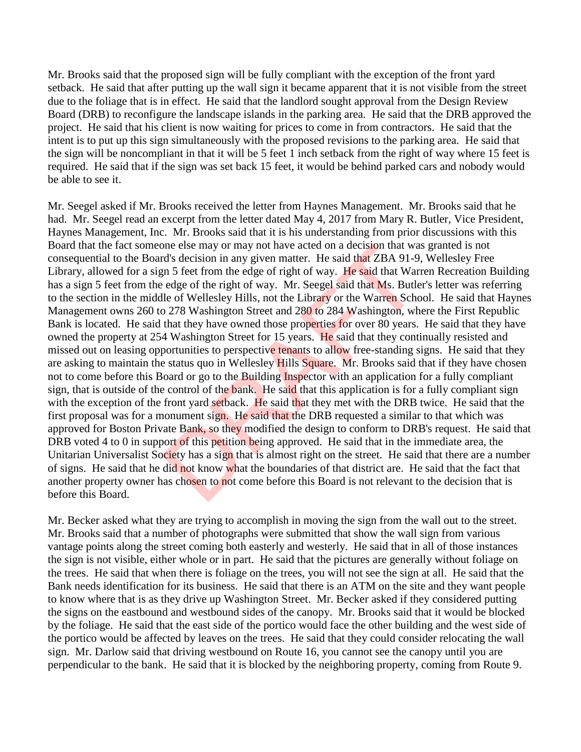Mr. Brooks said that the proposed sign will be fully compliant with the exception of the front yard setback. He said that after putting up the wall sign it became apparent that it is not visible from the street due to the foliage that is in effect. He said that the landlord sought approval from the Design Review Board (DRB) to reconfigure the landscape islands in the parking area. He said that the DRB approved the project. He said that his client is now waiting for prices to come in from contractors. He said that the intent is to put up this sign simultaneously with the proposed revisions to the parking area. He said that the sign will be noncompliant in that it will be 5 feet 1 inch setback from the right of way where 15 feet is required. He said that if the sign was set back 15 feet, it would be behind parked cars and nobody would be able to see it.

Mr. Seegel asked if Mr. Brooks received the letter from Haynes Management. Mr. Brooks said that he had. Mr. Seegel read an excerpt from the letter dated May 4, 2017 from Mary R. Butler, Vice President, Haynes Management, Inc. Mr. Brooks said that it is his understanding from prior discussions with this Board that the fact someone else may or may not have acted on a decision that was granted is not consequential to the Board's decision in any given matter. He said that ZBA 91-9, Wellesley Free Library, allowed for a sign 5 feet from the edge of right of way. He said that Warren Recreation Building has a sign 5 feet from the edge of the right of way. Mr. Seegel said that Ms. Butler's letter was referring to the section in the middle of Wellesley Hills, not the Library or the Warren School. He said that Haynes Management owns 260 to 278 Washington Street and 280 to 284 Washington, where the First Republic Bank is located. He said that they have owned those properties for over 80 years. He said that they have owned the property at 254 Washington Street for 15 years. He said that they continually resisted and missed out on leasing opportunities to perspective tenants to allow free-standing signs. He said that they are asking to maintain the status quo in Wellesley Hills Square. Mr. Brooks said that if they have chosen not to come before this Board or go to the Building Inspector with an application for a fully compliant sign, that is outside of the control of the bank. He said that this application is for a fully compliant sign with the exception of the front yard setback. He said that they met with the DRB twice. He said that the first proposal was for a monument sign. He said that the DRB requested a similar to that which was approved for Boston Private Bank, so they modified the design to conform to DRB's request. He said that DRB voted 4 to 0 in support of this petition being approved. He said that in the immediate area, the Unitarian Universalist Society has a sign that is almost right on the street. He said that there are a number of signs. He said that he did not know what the boundaries of that district are. He said that the fact that another property owner has chosen to not come before this Board is not relevant to the decision that is before this Board. one else may or may not have acted on a decision that ward's decision in any given matter. He said that ZBA 91-9 m 5 feet from the edge of right of way. Mr. Seegel said that Ms. Butle of Wellesley Hills, not the Library or

Mr. Becker asked what they are trying to accomplish in moving the sign from the wall out to the street. Mr. Brooks said that a number of photographs were submitted that show the wall sign from various vantage points along the street coming both easterly and westerly. He said that in all of those instances the sign is not visible, either whole or in part. He said that the pictures are generally without foliage on the trees. He said that when there is foliage on the trees, you will not see the sign at all. He said that the Bank needs identification for its business. He said that there is an ATM on the site and they want people to know where that is as they drive up Washington Street. Mr. Becker asked if they considered putting the signs on the eastbound and westbound sides of the canopy. Mr. Brooks said that it would be blocked by the foliage. He said that the east side of the portico would face the other building and the west side of the portico would be affected by leaves on the trees. He said that they could consider relocating the wall sign. Mr. Darlow said that driving westbound on Route 16, you cannot see the canopy until you are perpendicular to the bank. He said that it is blocked by the neighboring property, coming from Route 9.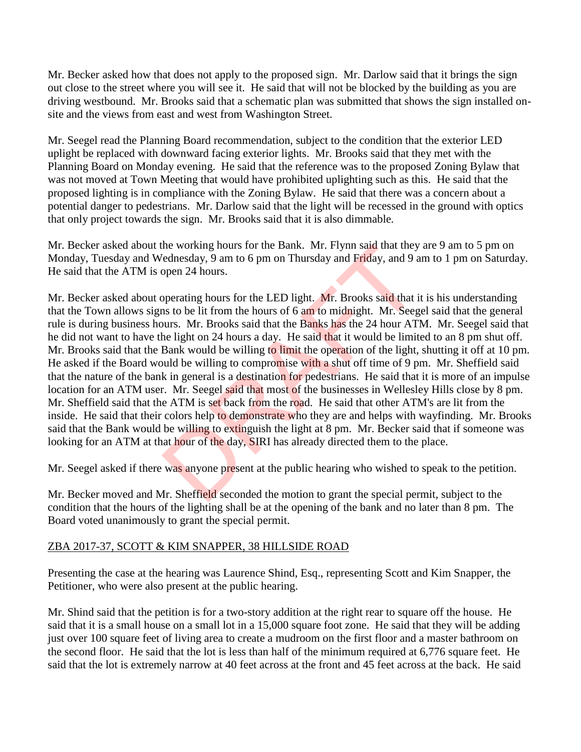Mr. Becker asked how that does not apply to the proposed sign. Mr. Darlow said that it brings the sign out close to the street where you will see it. He said that will not be blocked by the building as you are driving westbound. Mr. Brooks said that a schematic plan was submitted that shows the sign installed onsite and the views from east and west from Washington Street.

Mr. Seegel read the Planning Board recommendation, subject to the condition that the exterior LED uplight be replaced with downward facing exterior lights. Mr. Brooks said that they met with the Planning Board on Monday evening. He said that the reference was to the proposed Zoning Bylaw that was not moved at Town Meeting that would have prohibited uplighting such as this. He said that the proposed lighting is in compliance with the Zoning Bylaw. He said that there was a concern about a potential danger to pedestrians. Mr. Darlow said that the light will be recessed in the ground with optics that only project towards the sign. Mr. Brooks said that it is also dimmable.

Mr. Becker asked about the working hours for the Bank. Mr. Flynn said that they are 9 am to 5 pm on Monday, Tuesday and Wednesday, 9 am to 6 pm on Thursday and Friday, and 9 am to 1 pm on Saturday. He said that the ATM is open 24 hours.

Mr. Becker asked about operating hours for the LED light. Mr. Brooks said that it is his understanding that the Town allows signs to be lit from the hours of 6 am to midnight. Mr. Seegel said that the general rule is during business hours. Mr. Brooks said that the Banks has the 24 hour ATM. Mr. Seegel said that he did not want to have the light on 24 hours a day. He said that it would be limited to an 8 pm shut off. Mr. Brooks said that the Bank would be willing to limit the operation of the light, shutting it off at 10 pm. He asked if the Board would be willing to compromise with a shut off time of 9 pm. Mr. Sheffield said that the nature of the bank in general is a destination for pedestrians. He said that it is more of an impulse location for an ATM user. Mr. Seegel said that most of the businesses in Wellesley Hills close by 8 pm. Mr. Sheffield said that the ATM is set back from the road. He said that other ATM's are lit from the inside. He said that their colors help to demonstrate who they are and helps with wayfinding. Mr. Brooks said that the Bank would be willing to extinguish the light at 8 pm. Mr. Becker said that if someone was looking for an ATM at that hour of the day, SIRI has already directed them to the place. the working hours for the Bank. Mr. Flynn said that they<br>
denesday, 9 am to 6 pm on Thursday and Friday, and 9 a<br>
open 24 hours.<br>
Seperating hours for the LED light. Mr. Brooks said that i<br>
as to be lit from the hours of 6

Mr. Seegel asked if there was anyone present at the public hearing who wished to speak to the petition.

Mr. Becker moved and Mr. Sheffield seconded the motion to grant the special permit, subject to the condition that the hours of the lighting shall be at the opening of the bank and no later than 8 pm. The Board voted unanimously to grant the special permit.

#### ZBA 2017-37, SCOTT & KIM SNAPPER, 38 HILLSIDE ROAD

Presenting the case at the hearing was Laurence Shind, Esq., representing Scott and Kim Snapper, the Petitioner, who were also present at the public hearing.

Mr. Shind said that the petition is for a two-story addition at the right rear to square off the house. He said that it is a small house on a small lot in a 15,000 square foot zone. He said that they will be adding just over 100 square feet of living area to create a mudroom on the first floor and a master bathroom on the second floor. He said that the lot is less than half of the minimum required at 6,776 square feet. He said that the lot is extremely narrow at 40 feet across at the front and 45 feet across at the back. He said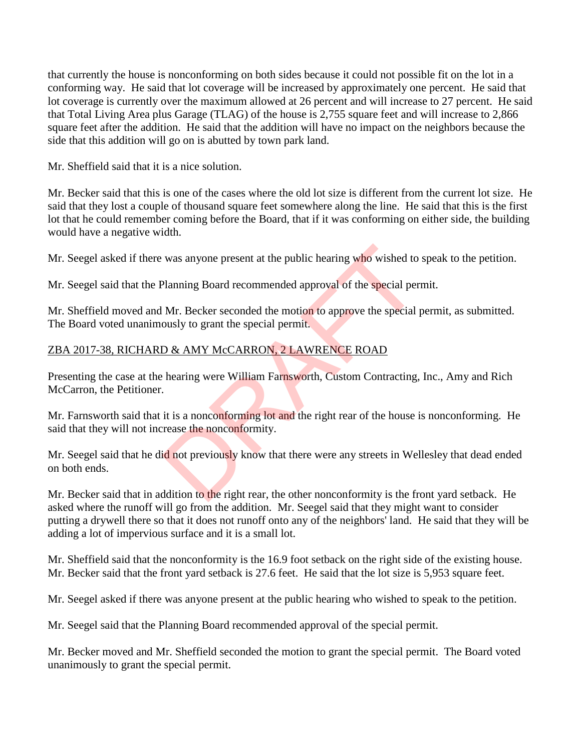that currently the house is nonconforming on both sides because it could not possible fit on the lot in a conforming way. He said that lot coverage will be increased by approximately one percent. He said that lot coverage is currently over the maximum allowed at 26 percent and will increase to 27 percent. He said that Total Living Area plus Garage (TLAG) of the house is 2,755 square feet and will increase to 2,866 square feet after the addition. He said that the addition will have no impact on the neighbors because the side that this addition will go on is abutted by town park land.

Mr. Sheffield said that it is a nice solution.

Mr. Becker said that this is one of the cases where the old lot size is different from the current lot size. He said that they lost a couple of thousand square feet somewhere along the line. He said that this is the first lot that he could remember coming before the Board, that if it was conforming on either side, the building would have a negative width.

Mr. Seegel asked if there was anyone present at the public hearing who wished to speak to the petition.

Mr. Seegel said that the Planning Board recommended approval of the special permit.

Mr. Sheffield moved and Mr. Becker seconded the motion to approve the special permit, as submitted. The Board voted unanimously to grant the special permit.

# ZBA 2017-38, RICHARD & AMY McCARRON, 2 LAWRENCE ROAD

Presenting the case at the hearing were William Farnsworth, Custom Contracting, Inc., Amy and Rich McCarron, the Petitioner.

Mr. Farnsworth said that it is a nonconforming lot and the right rear of the house is nonconforming. He said that they will not increase the nonconformity. was anyone present at the public hearing who wished to<br>Planning Board recommended approval of the special per<br>Mr. Becker seconded the motion to approve the special jously to grant the special permit.<br>D & AMY McCARRON, 2 LA

Mr. Seegel said that he did not previously know that there were any streets in Wellesley that dead ended on both ends.

Mr. Becker said that in addition to the right rear, the other nonconformity is the front yard setback. He asked where the runoff will go from the addition. Mr. Seegel said that they might want to consider putting a drywell there so that it does not runoff onto any of the neighbors' land. He said that they will be adding a lot of impervious surface and it is a small lot.

Mr. Sheffield said that the nonconformity is the 16.9 foot setback on the right side of the existing house. Mr. Becker said that the front yard setback is 27.6 feet. He said that the lot size is 5,953 square feet.

Mr. Seegel asked if there was anyone present at the public hearing who wished to speak to the petition.

Mr. Seegel said that the Planning Board recommended approval of the special permit.

Mr. Becker moved and Mr. Sheffield seconded the motion to grant the special permit. The Board voted unanimously to grant the special permit.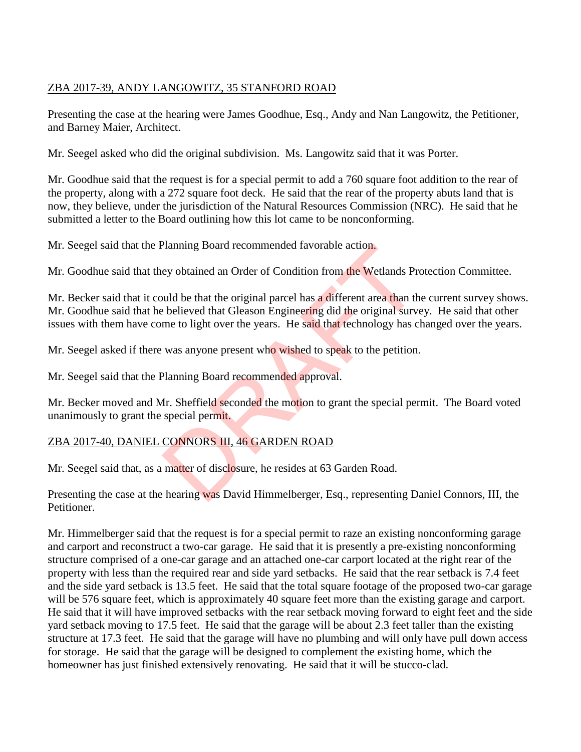#### ZBA 2017-39, ANDY LANGOWITZ, 35 STANFORD ROAD

Presenting the case at the hearing were James Goodhue, Esq., Andy and Nan Langowitz, the Petitioner, and Barney Maier, Architect.

Mr. Seegel asked who did the original subdivision. Ms. Langowitz said that it was Porter.

Mr. Goodhue said that the request is for a special permit to add a 760 square foot addition to the rear of the property, along with a 272 square foot deck. He said that the rear of the property abuts land that is now, they believe, under the jurisdiction of the Natural Resources Commission (NRC). He said that he submitted a letter to the Board outlining how this lot came to be nonconforming.

Mr. Seegel said that the Planning Board recommended favorable action.

Mr. Goodhue said that they obtained an Order of Condition from the Wetlands Protection Committee.

Mr. Becker said that it could be that the original parcel has a different area than the current survey shows. Mr. Goodhue said that he believed that Gleason Engineering did the original survey. He said that other issues with them have come to light over the years. He said that technology has changed over the years. Planning Board recommended favorable action.<br>
ey obtained an Order of Condition from the Wetlands Pre<br>
uuld be that the original parcel has a different area than the<br>
believed that Gleason Engineering did the original surv

Mr. Seegel asked if there was anyone present who wished to speak to the petition.

Mr. Seegel said that the Planning Board recommended approval.

Mr. Becker moved and Mr. Sheffield seconded the motion to grant the special permit. The Board voted unanimously to grant the special permit.

## ZBA 2017-40, DANIEL CONNORS III, 46 GARDEN ROAD

Mr. Seegel said that, as a matter of disclosure, he resides at 63 Garden Road.

Presenting the case at the hearing was David Himmelberger, Esq., representing Daniel Connors, III, the Petitioner.

Mr. Himmelberger said that the request is for a special permit to raze an existing nonconforming garage and carport and reconstruct a two-car garage. He said that it is presently a pre-existing nonconforming structure comprised of a one-car garage and an attached one-car carport located at the right rear of the property with less than the required rear and side yard setbacks. He said that the rear setback is 7.4 feet and the side yard setback is 13.5 feet. He said that the total square footage of the proposed two-car garage will be 576 square feet, which is approximately 40 square feet more than the existing garage and carport. He said that it will have improved setbacks with the rear setback moving forward to eight feet and the side yard setback moving to 17.5 feet. He said that the garage will be about 2.3 feet taller than the existing structure at 17.3 feet. He said that the garage will have no plumbing and will only have pull down access for storage. He said that the garage will be designed to complement the existing home, which the homeowner has just finished extensively renovating. He said that it will be stucco-clad.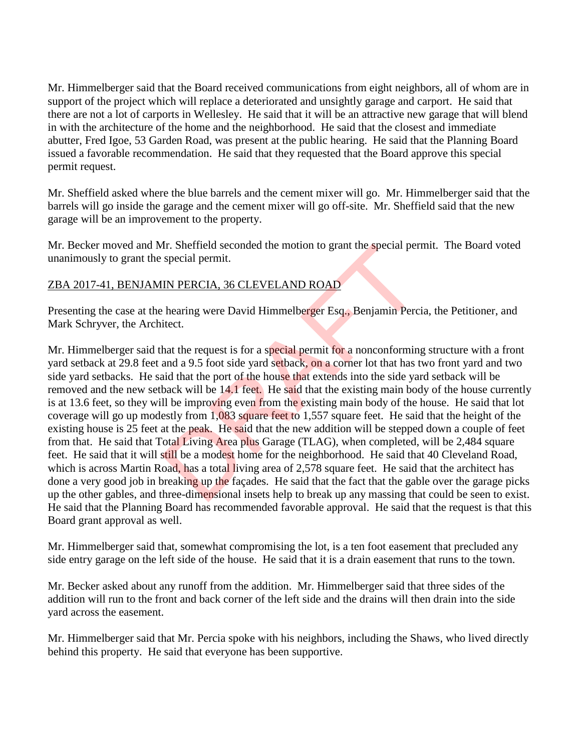Mr. Himmelberger said that the Board received communications from eight neighbors, all of whom are in support of the project which will replace a deteriorated and unsightly garage and carport. He said that there are not a lot of carports in Wellesley. He said that it will be an attractive new garage that will blend in with the architecture of the home and the neighborhood. He said that the closest and immediate abutter, Fred Igoe, 53 Garden Road, was present at the public hearing. He said that the Planning Board issued a favorable recommendation. He said that they requested that the Board approve this special permit request.

Mr. Sheffield asked where the blue barrels and the cement mixer will go. Mr. Himmelberger said that the barrels will go inside the garage and the cement mixer will go off-site. Mr. Sheffield said that the new garage will be an improvement to the property.

Mr. Becker moved and Mr. Sheffield seconded the motion to grant the special permit. The Board voted unanimously to grant the special permit.

## ZBA 2017-41, BENJAMIN PERCIA, 36 CLEVELAND ROAD

Presenting the case at the hearing were David Himmelberger Esq., Benjamin Percia, the Petitioner, and Mark Schryver, the Architect.

Mr. Himmelberger said that the request is for a special permit for a nonconforming structure with a front yard setback at 29.8 feet and a 9.5 foot side yard setback, on a corner lot that has two front yard and two side yard setbacks. He said that the port of the house that extends into the side yard setback will be removed and the new setback will be 14.1 feet. He said that the existing main body of the house currently is at 13.6 feet, so they will be improving even from the existing main body of the house. He said that lot coverage will go up modestly from 1,083 square feet to 1,557 square feet. He said that the height of the existing house is 25 feet at the peak. He said that the new addition will be stepped down a couple of feet from that. He said that Total Living Area plus Garage (TLAG), when completed, will be 2,484 square feet. He said that it will still be a modest home for the neighborhood. He said that 40 Cleveland Road, which is across Martin Road, has a total living area of 2,578 square feet. He said that the architect has done a very good job in breaking up the façades. He said that the fact that the gable over the garage picks up the other gables, and three-dimensional insets help to break up any massing that could be seen to exist. He said that the Planning Board has recommended favorable approval. He said that the request is that this Board grant approval as well. In: Sherfield seconded the motion to grant the special per<br>special permit.<br>IN PERCIA, 36 CLEVELAND ROAD<br>hearing were David Himmelberger Esq., Benjamin Perc<br>itect.<br>hat the request is for a special permit for a nonconformin<br>

Mr. Himmelberger said that, somewhat compromising the lot, is a ten foot easement that precluded any side entry garage on the left side of the house. He said that it is a drain easement that runs to the town.

Mr. Becker asked about any runoff from the addition. Mr. Himmelberger said that three sides of the addition will run to the front and back corner of the left side and the drains will then drain into the side yard across the easement.

Mr. Himmelberger said that Mr. Percia spoke with his neighbors, including the Shaws, who lived directly behind this property. He said that everyone has been supportive.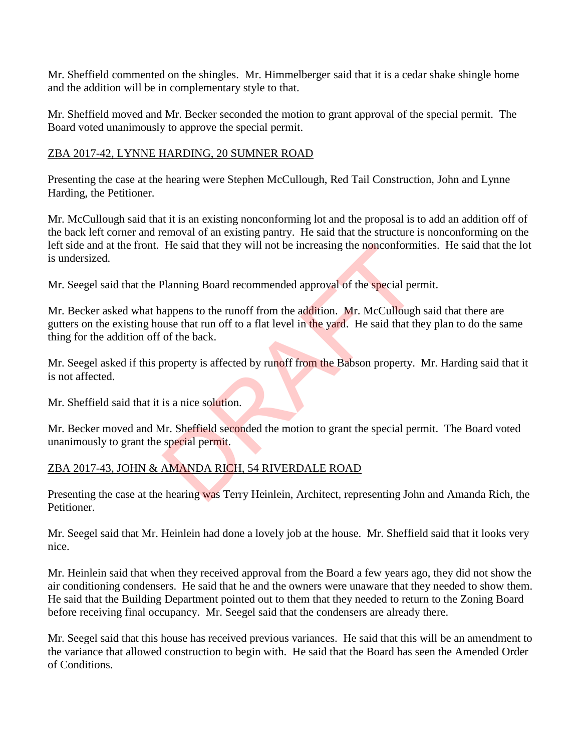Mr. Sheffield commented on the shingles. Mr. Himmelberger said that it is a cedar shake shingle home and the addition will be in complementary style to that.

Mr. Sheffield moved and Mr. Becker seconded the motion to grant approval of the special permit. The Board voted unanimously to approve the special permit.

#### ZBA 2017-42, LYNNE HARDING, 20 SUMNER ROAD

Presenting the case at the hearing were Stephen McCullough, Red Tail Construction, John and Lynne Harding, the Petitioner.

Mr. McCullough said that it is an existing nonconforming lot and the proposal is to add an addition off of the back left corner and removal of an existing pantry. He said that the structure is nonconforming on the left side and at the front. He said that they will not be increasing the nonconformities. He said that the lot is undersized.

Mr. Seegel said that the Planning Board recommended approval of the special permit.

Mr. Becker asked what happens to the runoff from the addition. Mr. McCullough said that there are gutters on the existing house that run off to a flat level in the yard. He said that they plan to do the same thing for the addition off of the back. He said that they will not be increasing the nonconform<br>Planning Board recommended approval of the special per<br>appens to the runoff from the addition. Mr. McCullough<br>use that run off to a flat level in the yard. He said th

Mr. Seegel asked if this property is affected by runoff from the Babson property. Mr. Harding said that it is not affected.

Mr. Sheffield said that it is a nice solution.

Mr. Becker moved and Mr. Sheffield seconded the motion to grant the special permit. The Board voted unanimously to grant the special permit.

## ZBA 2017-43, JOHN & AMANDA RICH, 54 RIVERDALE ROAD

Presenting the case at the hearing was Terry Heinlein, Architect, representing John and Amanda Rich, the Petitioner.

Mr. Seegel said that Mr. Heinlein had done a lovely job at the house. Mr. Sheffield said that it looks very nice.

Mr. Heinlein said that when they received approval from the Board a few years ago, they did not show the air conditioning condensers. He said that he and the owners were unaware that they needed to show them. He said that the Building Department pointed out to them that they needed to return to the Zoning Board before receiving final occupancy. Mr. Seegel said that the condensers are already there.

Mr. Seegel said that this house has received previous variances. He said that this will be an amendment to the variance that allowed construction to begin with. He said that the Board has seen the Amended Order of Conditions.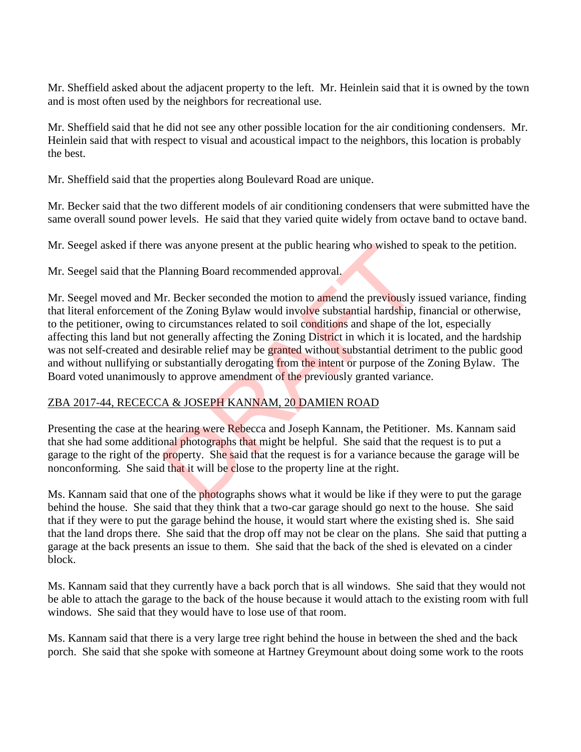Mr. Sheffield asked about the adjacent property to the left. Mr. Heinlein said that it is owned by the town and is most often used by the neighbors for recreational use.

Mr. Sheffield said that he did not see any other possible location for the air conditioning condensers. Mr. Heinlein said that with respect to visual and acoustical impact to the neighbors, this location is probably the best.

Mr. Sheffield said that the properties along Boulevard Road are unique.

Mr. Becker said that the two different models of air conditioning condensers that were submitted have the same overall sound power levels. He said that they varied quite widely from octave band to octave band.

Mr. Seegel asked if there was anyone present at the public hearing who wished to speak to the petition.

Mr. Seegel said that the Planning Board recommended approval.

Mr. Seegel moved and Mr. Becker seconded the motion to amend the previously issued variance, finding that literal enforcement of the Zoning Bylaw would involve substantial hardship, financial or otherwise, to the petitioner, owing to circumstances related to soil conditions and shape of the lot, especially affecting this land but not generally affecting the Zoning District in which it is located, and the hardship was not self-created and desirable relief may be granted without substantial detriment to the public good and without nullifying or substantially derogating from the intent or purpose of the Zoning Bylaw. The Board voted unanimously to approve amendment of the previously granted variance. was anyone present at the public hearing who wished to<br>Planning Board recommended approval.<br>Ir. Becker seconded the motion to amend the previously if the Zoning Bylaw would involve substantial hardship, is<br>o circumstances

## ZBA 2017-44, RECECCA & JOSEPH KANNAM, 20 DAMIEN ROAD

Presenting the case at the hearing were Rebecca and Joseph Kannam, the Petitioner. Ms. Kannam said that she had some additional photographs that might be helpful. She said that the request is to put a garage to the right of the property. She said that the request is for a variance because the garage will be nonconforming. She said that it will be close to the property line at the right.

Ms. Kannam said that one of the photographs shows what it would be like if they were to put the garage behind the house. She said that they think that a two-car garage should go next to the house. She said that if they were to put the garage behind the house, it would start where the existing shed is. She said that the land drops there. She said that the drop off may not be clear on the plans. She said that putting a garage at the back presents an issue to them. She said that the back of the shed is elevated on a cinder block.

Ms. Kannam said that they currently have a back porch that is all windows. She said that they would not be able to attach the garage to the back of the house because it would attach to the existing room with full windows. She said that they would have to lose use of that room.

Ms. Kannam said that there is a very large tree right behind the house in between the shed and the back porch. She said that she spoke with someone at Hartney Greymount about doing some work to the roots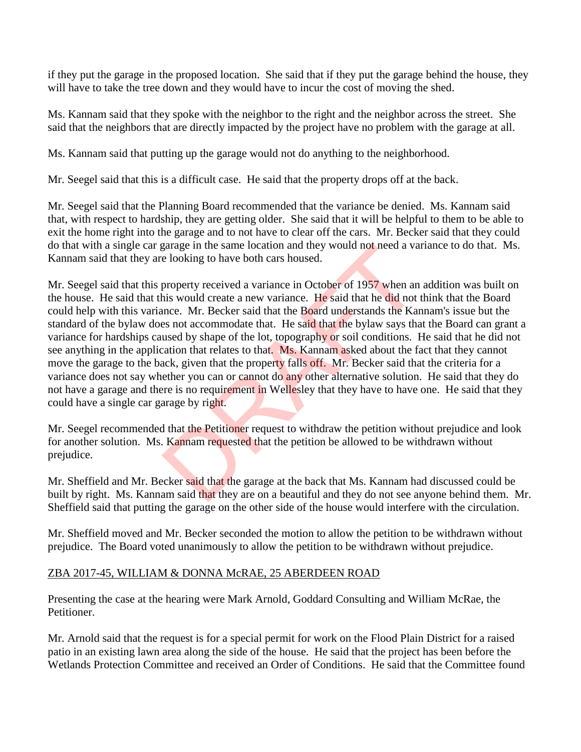if they put the garage in the proposed location. She said that if they put the garage behind the house, they will have to take the tree down and they would have to incur the cost of moving the shed.

Ms. Kannam said that they spoke with the neighbor to the right and the neighbor across the street. She said that the neighbors that are directly impacted by the project have no problem with the garage at all.

Ms. Kannam said that putting up the garage would not do anything to the neighborhood.

Mr. Seegel said that this is a difficult case. He said that the property drops off at the back.

Mr. Seegel said that the Planning Board recommended that the variance be denied. Ms. Kannam said that, with respect to hardship, they are getting older. She said that it will be helpful to them to be able to exit the home right into the garage and to not have to clear off the cars. Mr. Becker said that they could do that with a single car garage in the same location and they would not need a variance to do that. Ms. Kannam said that they are looking to have both cars housed.

Mr. Seegel said that this property received a variance in October of 1957 when an addition was built on the house. He said that this would create a new variance. He said that he did not think that the Board could help with this variance. Mr. Becker said that the Board understands the Kannam's issue but the standard of the bylaw does not accommodate that. He said that the bylaw says that the Board can grant a variance for hardships caused by shape of the lot, topography or soil conditions. He said that he did not see anything in the application that relates to that. Ms. Kannam asked about the fact that they cannot move the garage to the back, given that the property falls off. Mr. Becker said that the criteria for a variance does not say whether you can or cannot do any other alternative solution. He said that they do not have a garage and there is no requirement in Wellesley that they have to have one. He said that they could have a single car garage by right. garage in the same location and they would not need a va<br>e looking to have both cars housed.<br>property received a variance in October of 1957 when an<br>ins would create a new variance. He said that he did not<br>mce. Mr. Becker

Mr. Seegel recommended that the Petitioner request to withdraw the petition without prejudice and look for another solution. Ms. Kannam requested that the petition be allowed to be withdrawn without prejudice.

Mr. Sheffield and Mr. Becker said that the garage at the back that Ms. Kannam had discussed could be built by right. Ms. Kannam said that they are on a beautiful and they do not see anyone behind them. Mr. Sheffield said that putting the garage on the other side of the house would interfere with the circulation.

Mr. Sheffield moved and Mr. Becker seconded the motion to allow the petition to be withdrawn without prejudice. The Board voted unanimously to allow the petition to be withdrawn without prejudice.

## ZBA 2017-45, WILLIAM & DONNA McRAE, 25 ABERDEEN ROAD

Presenting the case at the hearing were Mark Arnold, Goddard Consulting and William McRae, the Petitioner.

Mr. Arnold said that the request is for a special permit for work on the Flood Plain District for a raised patio in an existing lawn area along the side of the house. He said that the project has been before the Wetlands Protection Committee and received an Order of Conditions. He said that the Committee found